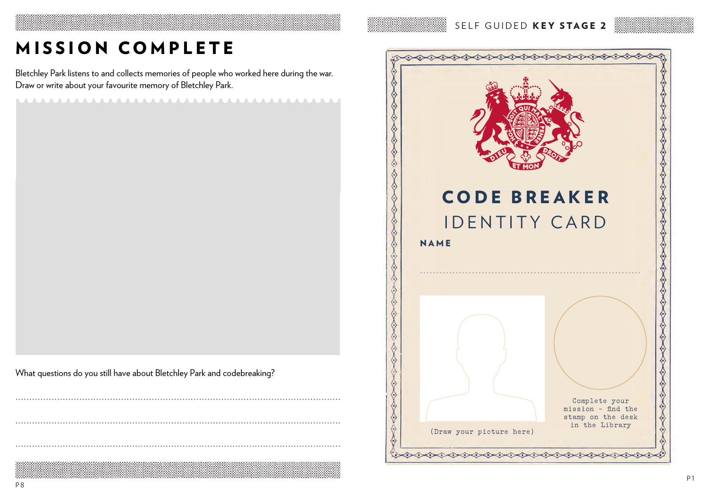SELF GUIDED KEY STAGE 2

# MISSION COMPLETE

Bletchley Park listens to and collects memories of people who worked here during the war. Draw or write about your favourite memory of Bletchley Park.

**MUULUULUULUULUULUULUULUULUULUULUU** 

What questions do you still have about Bletchley Park and codebreaking?

♦ ♦  $\Diamond$ ふくろく くうくうくうくうくうくうくうくうくう **CODE BREAKER IDENTITY CARD** 1111 NAME  $\Diamond$ **CONSORTION**  $\lambda$  $\langle \cdot \rangle$ ♦  $\langle \cdot \rangle$ ♦  $\langle \rangle$  $\langle \cdot \rangle$  $\Leftrightarrow$ ♦  $\langle \cdot \rangle$ CANCACCO ♦ ♦ Complete your ♦ - find the ssion on the desk stamp in the Library (Draw your picture here) くうくうくうくうくうくうくうくうくう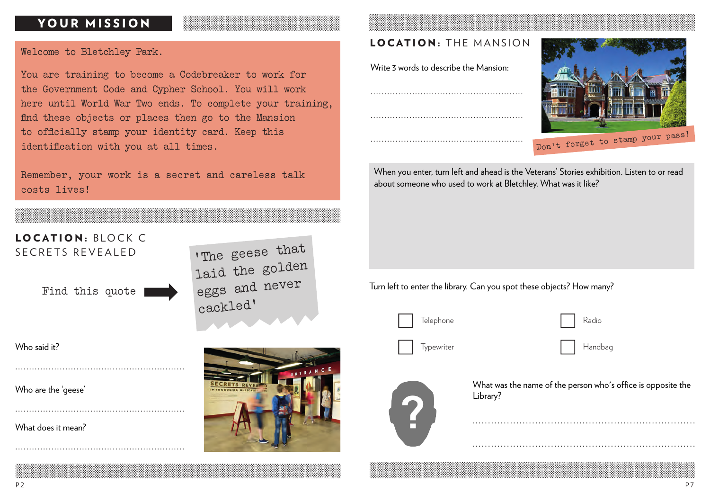## YOUR MISSION

#### Welcome to Bletchley Park.

You are training to become a Codebreaker to work for the Government Code and Cypher School. You will work here until World War Two ends. To complete your training, find these objects or places then go to the Mansion to officially stamp your identity card. Keep this identification with you at all times.

Remember, your work is a secret and careless talk costs lives!



Who are the 'geese'

.............................................................

.............................................................

.............................................................

What does it mean?



## LOCATION: THE MANSION

Write 3 words to describe the Mansion:

.......................................................





When you enter, turn left and ahead is the Veterans' Stories exhibition. Listen to or read about someone who used to work at Bletchley. What was it like?

Turn left to enter the library. Can you spot these objects? How many?



Telephone Radio

Typewriter Handbag Handbag



What was the name of the person who's office is opposite the Library?

.......................................................................

.......................................................................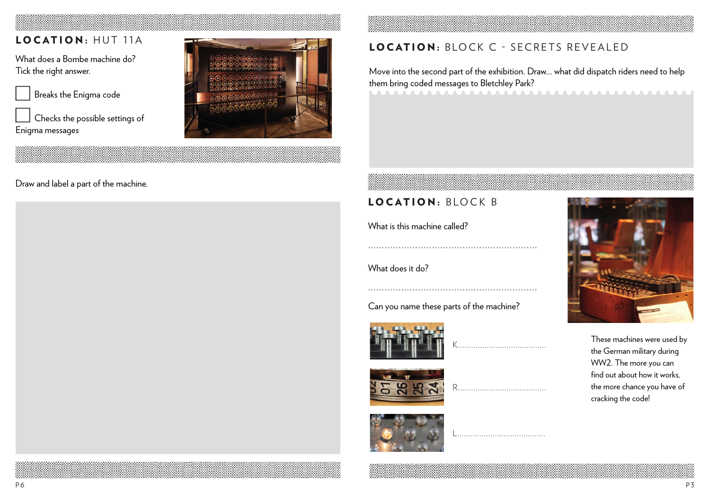## LOCATION: HUT 11A

What does a Bombe machine do? Tick the right answer.



 Checks the possible settings of Enigma messages



### Draw and label a part of the machine.



Move into the second part of the exhibition. Draw… what did dispatch riders need to help them bring coded messages to Bletchley Park?

## LOCATION: BLOCK B

What is this machine called?

What does it do?

Can you name these parts of the machine?

.............................................................

K........................................

R.................................

L........................................









These machines were used by the German military during WW2. The more you can find out about how it works, the more chance you have of cracking the code!